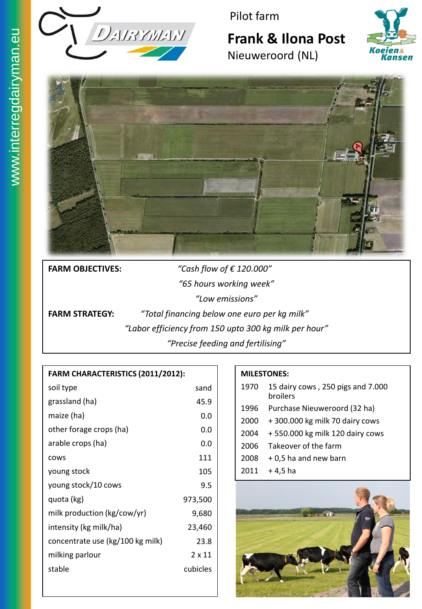

Pilot farm

# **Frank & Ilona Post**



Nieuweroord (NL)



**FARM OBJECTIVES:** *"Cash flow of € 120.000" "65 hours working week" "Low emissions"*

**FARM STRATEGY:** *"Total financing below one euro per kg milk" "Labor efficiency from 150 upto 300 kg milk per hour" "Precise feeding and fertilising"*

#### **FARM CHARACTERISTICS (2011/2012):**

| soil type                        | sand     |
|----------------------------------|----------|
| grassland (ha)                   | 45.9     |
| maize (ha)                       | 0.0      |
| other forage crops (ha)          | 0.0      |
| arable crops (ha)                | 0.0      |
| <b>COWS</b>                      | 111      |
| young stock                      | 105      |
| young stock/10 cows              | 9.5      |
| quota (kg)                       | 973,500  |
| milk production (kg/cow/yr)      | 9,680    |
| intensity (kg milk/ha)           | 23,460   |
| concentrate use (kg/100 kg milk) | 23.8     |
| milking parlour                  | 2 x 11   |
| stable                           | cubicles |
|                                  |          |

#### **MILESTONES:**

| 1970 | 15 dairy cows, 250 pigs and 7.000<br>broilers |
|------|-----------------------------------------------|
| 1996 | Purchase Nieuweroord (32 ha)                  |
| 2000 | +300.000 kg milk 70 dairy cows                |
| 2004 | +550.000 kg milk 120 dairy cows               |
| 2006 | Takeover of the farm                          |
| 2008 | + 0,5 ha and new barn                         |
| 2011 | + 4.5 ha                                      |

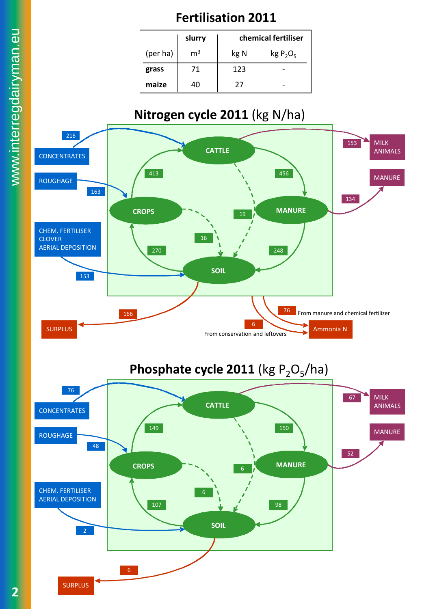## **Fertilisation 2011**

|          | slurry         | chemical fertiliser |             |
|----------|----------------|---------------------|-------------|
| (per ha) | m <sup>3</sup> | kg N                | $kg P_2O_5$ |
| grass    | 71             | 123                 |             |
| maize    | 40             | 27                  |             |

## **Nitrogen cycle 2011** (kg N/ha)



**2**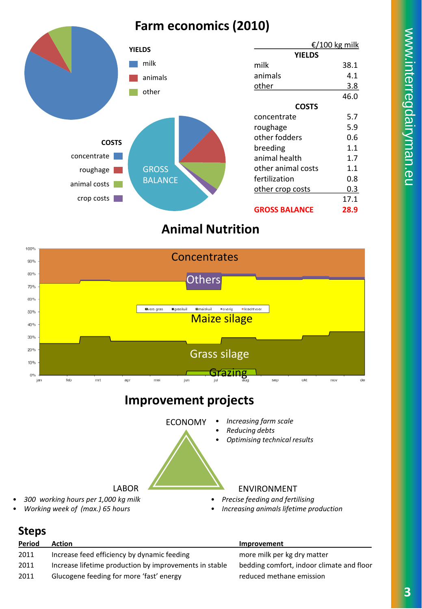## **Farm economics (2010)**



### **Animal Nutrition**



### **Improvement projects**



• *Working week of (max.) 65 hours*

## • *Increasing animals lifetime production*

#### **Steps**

| Period | Action                                                 | Improvement                               |
|--------|--------------------------------------------------------|-------------------------------------------|
| 2011   | Increase feed efficiency by dynamic feeding            | more milk per kg dry matter               |
| 2011   | Increase lifetime production by improvements in stable | bedding comfort, indoor climate and floor |
| 2011   | Glucogene feeding for more 'fast' energy               | reduced methane emission                  |